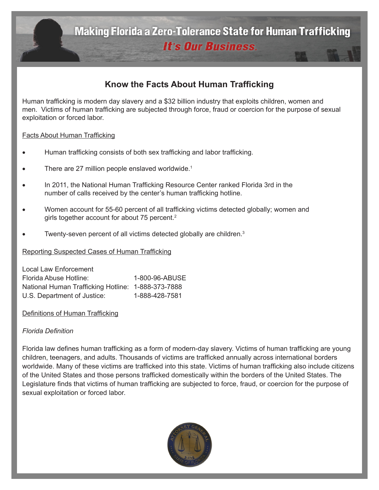**Making Florida a Zero-Tolerance State for Human Trafficking It's Our Business.** 

# **Know the Facts About Human Trafficking**

Human trafficking is modern day slavery and a \$32 billion industry that exploits children, women and men. Victims of human trafficking are subjected through force, fraud or coercion for the purpose of sexual exploitation or forced labor.

### Facts About Human Trafficking

- Human trafficking consists of both sex trafficking and labor trafficking.
- There are 27 million people enslaved worldwide. $1$
- In 2011, the National Human Trafficking Resource Center ranked Florida 3rd in the number of calls received by the center's human trafficking hotline.
- Women account for 55-60 percent of all trafficking victims detected globally; women and girls together account for about 75 percent.<sup>2</sup>
- Twenty-seven percent of all victims detected globally are children.<sup>3</sup>

Reporting Suspected Cases of Human Trafficking

| Local Law Enforcement                              |                |
|----------------------------------------------------|----------------|
| Florida Abuse Hotline:                             | 1-800-96-ABUSE |
| National Human Trafficking Hotline: 1-888-373-7888 |                |
| U.S. Department of Justice:                        | 1-888-428-7581 |

#### Definitions of Human Trafficking

### *Florida Definition*

Florida law defines human trafficking as a form of modern-day slavery. Victims of human trafficking are young children, teenagers, and adults. Thousands of victims are trafficked annually across international borders worldwide. Many of these victims are trafficked into this state. Victims of human trafficking also include citizens of the United States and those persons trafficked domestically within the borders of the United States. The Legislature finds that victims of human trafficking are subjected to force, fraud, or coercion for the purpose of sexual exploitation or forced labor.